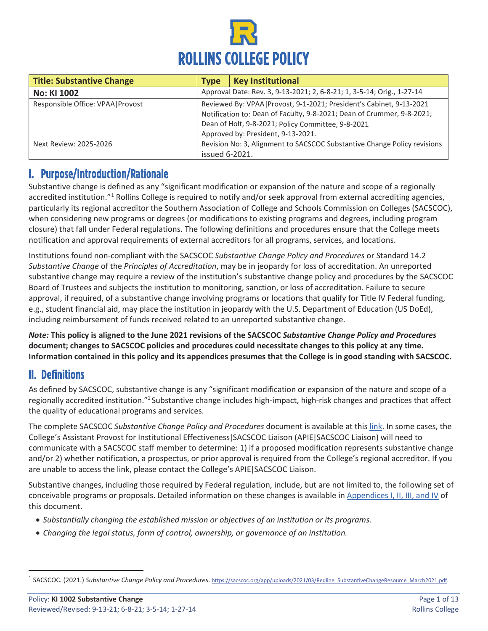

| <b>Title: Substantive Change</b>   | Tvpe           | <b>Key Institutional</b>                                                                                                                                                                                                                    |
|------------------------------------|----------------|---------------------------------------------------------------------------------------------------------------------------------------------------------------------------------------------------------------------------------------------|
| <b>No: KI 1002</b>                 |                | Approval Date: Rev. 3, 9-13-2021; 2, 6-8-21; 1, 3-5-14; Orig., 1-27-14                                                                                                                                                                      |
| Responsible Office: VPAA   Provost |                | Reviewed By: VPAA   Provost, 9-1-2021; President's Cabinet, 9-13-2021<br>Notification to: Dean of Faculty, 9-8-2021; Dean of Crummer, 9-8-2021;<br>Dean of Holt, 9-8-2021; Policy Committee, 9-8-2021<br>Approved by: President, 9-13-2021. |
| Next Review: 2025-2026             | issued 6-2021. | Revision No: 3, Alignment to SACSCOC Substantive Change Policy revisions                                                                                                                                                                    |

# I. Purpose/Introduction/Rationale

Substantive change is defined as any "significant modification or expansion of the nature and scope of a regionally accredited institution."<sup>[1](#page-0-0)</sup> Rollins College is required to notify and/or seek approval from external accrediting agencies, particularly its regional accreditor the Southern Association of College and Schools Commission on Colleges (SACSCOC), when considering new programs or degrees (or modifications to existing programs and degrees, including program closure) that fall under Federal regulations. The following definitions and procedures ensure that the College meets notification and approval requirements of external accreditors for all programs, services, and locations.

Institutions found non-compliant with the SACSCOC *Substantive Change Policy and Procedures* or Standard 14.2 *Substantive Change* of the *Principles of Accreditation*, may be in jeopardy for loss of accreditation. An unreported substantive change may require a review of the institution's substantive change policy and procedures by the SACSCOC Board of Trustees and subjects the institution to monitoring, sanction, or loss of accreditation. Failure to secure approval, if required, of a substantive change involving programs or locations that qualify for Title IV Federal funding, e.g., student financial aid, may place the institution in jeopardy with the U.S. Department of Education (US DoEd), including reimbursement of funds received related to an unreported substantive change.

*Note:* **This policy is aligned to the June 2021 revisions of the SACSCOC** *Substantive Change Policy and Procedures* **document; changes to SACSCOC policies and procedures could necessitate changes to this policy at any time. Information contained in this policy and its appendices presumes that the College is in good standing with SACSCOC.**

# II. Definitions

As defined by SACSCOC, substantive change is any "significant modification or expansion of the nature and scope of a regionally accredited institution."1 Substantive change includes high-impact, high-risk changes and practices that affect the quality of educational programs and services.

The complete SACSCOC *Substantive Change Policy and Procedures* document is available at this [link.](https://sacscoc.org/app/uploads/2019/08/SubstantiveChange.pdf) In some cases, the College's Assistant Provost for Institutional Effectiveness | SACSCOC Liaison (APIE | SACSCOC Liaison) will need to communicate with a SACSCOC staff member to determine: 1) if a proposed modification represents substantive change and/or 2) whether notification, a prospectus, or prior approval is required from the College's regional accreditor. If you are unable to access the link, please contact the College's APIE | SACSCOC Liaison.

Substantive changes, including those required by Federal regulation, include, but are not limited to, the following s[et of](#page-3-0)  [conceivable programs or proposals. Detailed information on these changes is](#page-3-0) available in Appendices I, II, III, and IV of this document.

- *Substantially changing the established mission or objectives of an institution or its programs.*
- *Changing the legal status, form of control, ownership, or governance of an institution.*

<span id="page-0-0"></span><sup>&</sup>lt;sup>1</sup> SACSCOC. (2021.) Substantive Change Policy and Procedures. https://sacscoc.org/app/uploads/2021/03/Redline\_SubstantiveChangeResource\_March2021.pdf.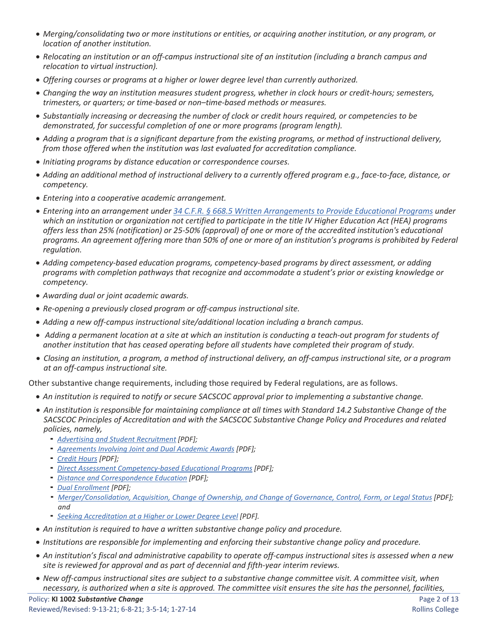- *Merging/consolidating two or more institutions or entities, or acquiring another institution, or any program, or location of another institution.*
- *Relocating an institution or an off-campus instructional site of an institution (including a branch campus and relocation to virtual instruction).*
- *Offering courses or programs at a higher or lower degree level than currently authorized.*
- *Changing the way an institution measures student progress, whether in clock hours or credit-hours; semesters, trimesters, or quarters; or time-based or non–time-based methods or measures.*
- *Substantially increasing or decreasing the number of clock or credit hours required, or competencies to be demonstrated, for successful completion of one or more programs (program length).*
- *Adding a program that is a significant departure from the existing programs, or method of instructional delivery, from those offered when the institution was last evaluated for accreditation compliance.*
- *Initiating programs by distance education or correspondence courses.*
- *Adding an additional method of instructional delivery to a currently offered program e.g., face-to-face, distance, or competency.*
- *Entering into a cooperative academic arrangement.*
- *Entering into an arrangement unde[r 34 C.F.R. § 668.5](https://www.law.cornell.edu/cfr/text/34/668.5) [Written Arrangements to Provide Educational Programs](https://www.law.cornell.edu/cfr/text/34/668.5) under which an institution or organization not certified to participate in the title IV Higher Education Act (HEA) programs offers less than 25% (notification) or 25-50% (approval) of one or more of the accredited institution's educational programs. An agreement offering more than 50% of one or more of an institution's programs is prohibited by Federal regulation.*
- *Adding competency-based education programs, competency-based programs by direct assessment, or adding programs with completion pathways that recognize and accommodate a student's prior or existing knowledge or competency.*
- *Awarding dual or joint academic awards.*
- *Re-opening a previously closed program or off-campus instructional site.*
- *Adding a new off-campus instructional site/additional location including a branch campus.*
- *Adding a permanent location at a site at which an institution is conducting a teach-out program for students of another institution that has ceased operating before all students have completed their program of study.*
- *Closing an institution, a program, a method of instructional delivery, an off-campus instructional site, or a program at an off-campus instructional site.*

Other substantive change requirements, including those required by Federal regulations, are as follows.

- *An institution is required to notify or secure SACSCOC approval prior to implementing a substantive change.*
- *An institution is responsible for maintaining compliance at all times with Standard 14.2 Substantive Change of the SACSCOC Principles of Accreditation and with the SACSCOC Substantive Change Policy and Procedures and related policies, namely,*
	- *[Advertising and Student Recruitment](https://sacscoc.org/app/uploads/2019/07/advertising.pdf) [PDF];*
	- *[Agreements Involving Joint and Dual Academic Awards](https://sacscoc.org/app/uploads/2019/08/JointDualAwards.pdf) [PDF];*
	- *[Credit Hours](https://sacscoc.org/app/uploads/2019/08/Credit-Hours.pdf) [PDF];*
	- *[Direct Assessment Competency-based Educational Programs](https://sacscoc.org/app/uploads/2019/08/DirectAssessmentCompetencyBased.pdf) [PDF];*
	- *[Distance and Correspondence Education](https://sacscoc.org/app/uploads/2019/07/DistanceCorrespondenceEducation.pdf) [PDF];*
	- *[Dual Enrollment](https://sacscoc.org/app/uploads/2019/08/Dual-Enrollment.pdf) [PDF];*
	- *[Merger/Consolidation, Acquisition, Change of Ownership, and Change of Governance, Control, Form, or Legal Status](https://sacscoc.org/app/uploads/2019/08/Mergers.pdf) [PDF]; and*
	- *[Seeking Accreditation at a Higher or Lower Degree Level](https://sacscoc.org/app/uploads/2020/01/Level-Change-for-Member-Institutions-1.pdf) [PDF].*
- *An institution is required to have a written substantive change policy and procedure.*
- *Institutions are responsible for implementing and enforcing their substantive change policy and procedure.*
- *An institution's fiscal and administrative capability to operate off-campus instructional sites is assessed when a new site is reviewed for approval and as part of decennial and fifth-year interim reviews.*
- *New off-campus instructional sites are subject to a substantive change committee visit. A committee visit, when necessary, is authorized when a site is approved. The committee visit ensures the site has the personnel, facilities,*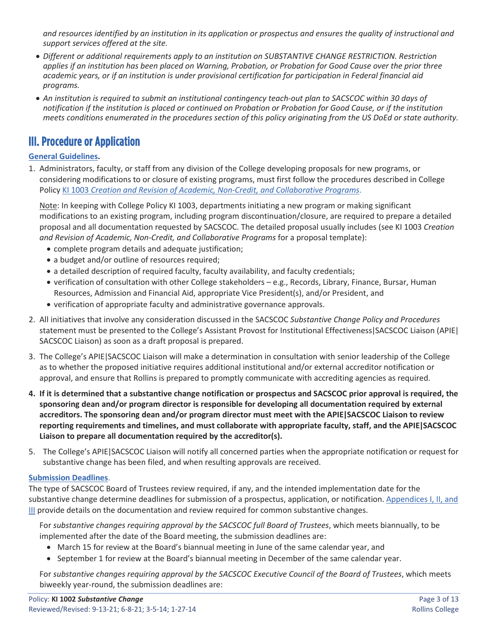*and resources identified by an institution in its application or prospectus and ensures the quality of instructional and support services offered at the site.* 

- *Different or additional requirements apply to an institution on SUBSTANTIVE CHANGE RESTRICTION. Restriction applies if an institution has been placed on Warning, Probation, or Probation for Good Cause over the prior three academic years, or if an institution is under provisional certification for participation in Federal financial aid programs.*
- *An institution is required to submit an institutional contingency teach-out plan to SACSCOC within 30 days of notification if the institution is placed or continued on Probation or Probation for Good Cause, or if the institution meets conditions enumerated in the procedures section of this policy originating from the US DoEd or state authority.*

# III. Procedure or Application

### **General Guidelines.**

1. Administrators, faculty, or staff from any division of the College developing proposals for new programs, or considering modifications to or closure of existing programs, must first follow the procedures described in College Policy KI 1003 *[Creation and Revision of Academic, Non-Credit, and Collaborative Programs](https://rpublic.rollins.edu/sites/IR/Shared%20Documents/KI%201003%20Creation-Revision%20of%20Academic,%20Non-Credit,%20Collaborative%20Programs%20R1%204-27-2017.pdf)*.

Note: In keeping with College Policy KI 1003, departments initiating a new program or making significant modifications to an existing program, including program discontinuation/closure, are required to prepare a detailed proposal and all documentation requested by SACSCOC. The detailed proposal usually includes (see KI 1003 *Creation and Revision of Academic, Non-Credit, and Collaborative Programs* for a proposal template):

- complete program details and adequate justification;
- a budget and/or outline of resources required;
- a detailed description of required faculty, faculty availability, and faculty credentials;
- verification of consultation with other College stakeholders e.g., Records, Library, Finance, Bursar, Human Resources, Admission and Financial Aid, appropriate Vice President(s), and/or President, and
- verification of appropriate faculty and administrative governance approvals.
- 2. All initiatives that involve any consideration discussed in the SACSCOC *Substantive Change Policy and Procedures* statement must be presented to the College's Assistant Provost for Institutional Effectiveness | SACSCOC Liaison (APIE | SACSCOC Liaison) as soon as a draft proposal is prepared.
- 3. The College's APIE | SACSCOC Liaison will make a determination in consultation with senior leadership of the College as to whether the proposed initiative requires additional institutional and/or external accreditor notification or approval, and ensure that Rollins is prepared to promptly communicate with accrediting agencies as required.
- **4. If it is determined that a substantive change notification or prospectus and SACSCOC prior approval is required, the sponsoring dean and/or program director is responsible for developing all documentation required by external accreditors. The sponsoring dean and/or program director must meet with the APIE | SACSCOC Liaison to review reporting requirements and timelines, and must collaborate with appropriate faculty, staff, and the APIE | SACSCOC Liaison to prepare all documentation required by the accreditor(s).**
- 5. The College's APIE | SACSCOC Liaison will notify all concerned parties when the appropriate notification or request for substantive change has been filed, and when resulting approvals are received.

### **Submission Deadlines**.

The type of SACSCOC Board of Trustees review required, if any, and the intended implementation date for the substantive change determine deadlines for submission of a prospectus, application, or notification. [Appendices I, II, and](#page-3-0)  [III](#page-3-0) provide details on the documentation and review required for common substantive changes.

For *substantive changes requiring approval by the SACSCOC full Board of Trustees*, which meets biannually, to be implemented after the date of the Board meeting, the submission deadlines are:

- March 15 for review at the Board's biannual meeting in June of the same calendar year, and
- September 1 for review at the Board's biannual meeting in December of the same calendar year.

For *substantive changes requiring approval by the SACSCOC Executive Council of the Board of Trustees*, which meets biweekly year-round, the submission deadlines are: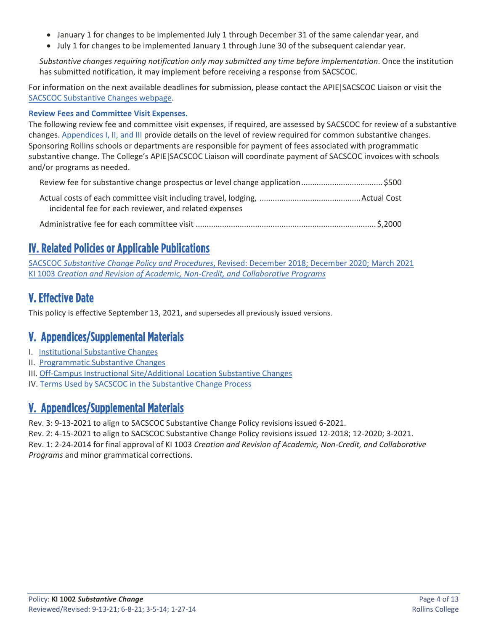- January 1 for changes to be implemented July 1 through December 31 of the same calendar year, and
- July 1 for changes to be implemented January 1 through June 30 of the subsequent calendar year.

*Substantive changes requiring notification only may submitted any time before implementation*. Once the institution has submitted notification, it may implement before receiving a response from SACSCOC.

For information on the next available deadlines for submission, please contact the APIE | SACSCOC Liaison or visit the [SACSCOC Substantive Changes webpage.](https://sacscoc.org/accrediting-standards/substantive-changes/)

### **Review Fees and Committee Visit Expenses.**

The following review fee and committee visit expenses, if required, are assessed by SACSCOC for review of a substantive changes[. Appendices I, II, and III](#page-3-0) provide details on the level of review required for common substantive changes. Sponsoring Rollins schools or departments are responsible for payment of fees associated with programmatic substantive change. The College's APIE | SACSCOC Liaison will coordinate payment of SACSCOC invoices with schools and/or programs as needed.

incidental fee for each reviewer, and related expenses

Administrative fee for each committee visit .................................................................................. \$,2000

# IV. Related Policies or Applicable Publications

SACSCOC *[Substantive Change Policy and Procedures](https://sacscoc.org/app/uploads/2019/08/SubstantiveChange.pdf)*[, Revised: December 2018; December 2020; March 2021](https://sacscoc.org/app/uploads/2019/08/SubstantiveChange.pdf) KI 1003 *Creation and Revision of Academic, [Non-Credit, and Collaborative](https://rpublic.rollins.edu/sites/IR/Shared%20Documents/KI%201003%20Creation-Revision%20of%20Academic,%20Non-Credit,%20Collaborative%20Programs%20R1%204-27-2017.pdf) Progra[ms](https://rpublic.rollins.edu/sites/IR/Shared%20Documents/KI%201003%20Creation-Revision%20of%20Academic,%20Non-Credit,%20Collaborative%20Programs%20R1%204-27-2017.pdf)*

# V. Effective Date

This policy is effective September 13, 2021, and supersedes all previously issued versions.

# <span id="page-3-0"></span>V. Appendices/Supplemental Materials

- I. [Institutional Substantive Changes](#page-4-0)
- II. [Programmatic](#page-7-0) [Substantive Changes](#page-7-0)
- III[. Off-Campus Instructional Site/Additional Location Substantive Changes](#page-10-0)
- IV. [Terms Used by SACSCOC](#page-10-1) [in the Substantive Change Process](#page-10-1)

# V. Appendices/Supplemental Materials

Rev. 3: 9-13-2021 to align to SACSCOC Substantive Change Policy revisions issued 6-2021.

Rev. 2: 4-15-2021 to align to SACSCOC Substantive Change Policy revisions issued 12-2018; 12-2020; 3-2021. Rev. 1: 2-24-2014 for final approval of KI 1003 *Creation and Revision of Academic, Non-Credit, and Collaborative* 

*Programs* and minor grammatical corrections.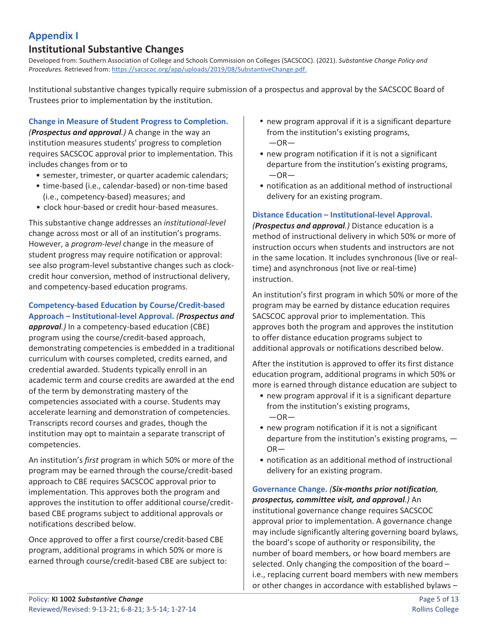## <span id="page-4-0"></span>**Appendix I**

### **Institutional Substantive Changes**

Developed from: Southern Association of College and Schools Commission on Colleges (SACSCOC). (2021). *Substantive Change Policy and Procedures.* Retrieved from: [https://sacscoc.org/app/uploads/2019/08/SubstantiveChange.pdf.](https://sacscoc.org/app/uploads/2019/08/SubstantiveChange.pdf)

Institutional substantive changes typically require submission of a prospectus and approval by the SACSCOC Board of Trustees prior to implementation by the institution.

### **Change in Measure of Student Progress to Completion.**

*(Prospectus and approval.)* A change in the way an institution measures students' progress to completion requires SACSCOC approval prior to implementation. This includes changes from or to

- semester, trimester, or quarter academic calendars;
- time-based (i.e., calendar-based) or non-time based (i.e., competency-based) measures; and
- clock hour-based or credit hour-based measures.

This substantive change addresses an *institutional-level*  change across most or all of an institution's programs. However, a *program-level* change in the measure of student progress may require notification or approval: see also program-level substantive changes such as clockcredit hour conversion, method of instructional delivery, and competency-based education programs.

### **Competency-based Education by Course/Credit-based Approach – Institutional-level Approval.** *(Prospectus and*

*approval.)* In a competency-based education (CBE) program using the course/credit-based approach, demonstrating competencies is embedded in a traditional curriculum with courses completed, credits earned, and credential awarded. Students typically enroll in an academic term and course credits are awarded at the end of the term by demonstrating mastery of the competencies associated with a course. Students may accelerate learning and demonstration of competencies. Transcripts record courses and grades, though the institution may opt to maintain a separate transcript of competencies.

An institution's *first* program in which 50% or more of the program may be earned through the course/credit-based approach to CBE requires SACSCOC approval prior to implementation. This approves both the program and approves the institution to offer additional course/creditbased CBE programs subject to additional approvals or notifications described below.

Once approved to offer a first course/credit-based CBE program, additional programs in which 50% or more is earned through course/credit-based CBE are subject to:

- new program approval if it is a significant departure from the institution's existing programs,  $-OR-$
- new program notification if it is not a significant departure from the institution's existing programs,  $-OR-$
- notification as an additional method of instructional delivery for an existing program.

### **Distance Education – Institutional-level Approval.**

*(Prospectus and approval.)* Distance education is a method of instructional delivery in which 50% or more of instruction occurs when students and instructors are not in the same location. It includes synchronous (live or realtime) and asynchronous (not live or real-time) instruction.

An institution's first program in which 50% or more of the program may be earned by distance education requires SACSCOC approval prior to implementation. This approves both the program and approves the institution to offer distance education programs subject to additional approvals or notifications described below.

After the institution is approved to offer its first distance education program, additional programs in which 50% or more is earned through distance education are subject to

- new program approval if it is a significant departure from the institution's existing programs,  $-OR-$
- new program notification if it is not a significant departure from the institution's existing programs, — OR—
- notification as an additional method of instructional delivery for an existing program.

## **Governance Change.** *(Six-months prior notification, prospectus, committee visit, and approval.)* An

institutional governance change requires SACSCOC approval prior to implementation. A governance change may include significantly altering governing board bylaws, the board's scope of authority or responsibility, the number of board members, or how board members are selected. Only changing the composition of the board – i.e., replacing current board members with new members or other changes in accordance with established bylaws –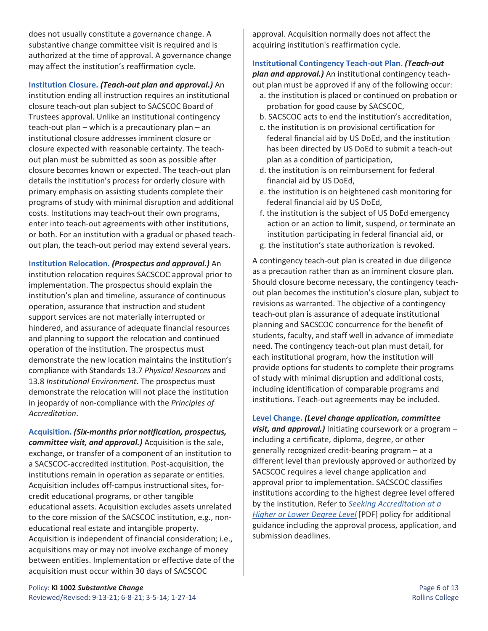does not usually constitute a governance change. A substantive change committee visit is required and is authorized at the time of approval. A governance change may affect the institution's reaffirmation cycle.

**Institution Closure.** *(Teach-out plan and approval.)* An institution ending all instruction requires an institutional closure teach-out plan subject to SACSCOC Board of Trustees approval. Unlike an institutional contingency teach-out plan – which is a precautionary plan – an institutional closure addresses imminent closure or closure expected with reasonable certainty. The teachout plan must be submitted as soon as possible after closure becomes known or expected. The teach-out plan details the institution's process for orderly closure with primary emphasis on assisting students complete their programs of study with minimal disruption and additional costs. Institutions may teach-out their own programs, enter into teach-out agreements with other institutions, or both. For an institution with a gradual or phased teachout plan, the teach-out period may extend several years.

**Institution Relocation.** *(Prospectus and approval.)* An institution relocation requires SACSCOC approval prior to implementation. The prospectus should explain the institution's plan and timeline, assurance of continuous operation, assurance that instruction and student support services are not materially interrupted or hindered, and assurance of adequate financial resources and planning to support the relocation and continued operation of the institution. The prospectus must demonstrate the new location maintains the institution's compliance with Standards 13.7 *Physical Resources* and 13.8 *Institutional Environment*. The prospectus must demonstrate the relocation will not place the institution in jeopardy of non-compliance with the *Principles of Accreditation*.

**Acquisition.** *(Six-months prior notification, prospectus, committee visit, and approval.)* Acquisition is the sale, exchange, or transfer of a component of an institution to a SACSCOC-accredited institution. Post-acquisition, the institutions remain in operation as separate or entities. Acquisition includes off-campus instructional sites, forcredit educational programs, or other tangible educational assets. Acquisition excludes assets unrelated to the core mission of the SACSCOC institution, e.g., noneducational real estate and intangible property. Acquisition is independent of financial consideration; i.e., acquisitions may or may not involve exchange of money between entities. Implementation or effective date of the acquisition must occur within 30 days of SACSCOC

approval. Acquisition normally does not affect the acquiring institution's reaffirmation cycle.

## **Institutional Contingency Teach-out Plan.** *(Teach-out plan and approval.)* An institutional contingency teach-

- out plan must be approved if any of the following occur: a. the institution is placed or continued on probation or probation for good cause by SACSCOC,
	- b. SACSCOC acts to end the institution's accreditation,
	- c. the institution is on provisional certification for federal financial aid by US DoEd, and the institution has been directed by US DoEd to submit a teach-out plan as a condition of participation,
	- d. the institution is on reimbursement for federal financial aid by US DoEd,
	- e. the institution is on heightened cash monitoring for federal financial aid by US DoEd,
	- f. the institution is the subject of US DoEd emergency action or an action to limit, suspend, or terminate an institution participating in federal financial aid, or
	- g. the institution's state authorization is revoked.

A contingency teach-out plan is created in due diligence as a precaution rather than as an imminent closure plan. Should closure become necessary, the contingency teachout plan becomes the institution's closure plan, subject to revisions as warranted. The objective of a contingency teach-out plan is assurance of adequate institutional planning and SACSCOC concurrence for the benefit of students, faculty, and staff well in advance of immediate need. The contingency teach-out plan must detail, for each institutional program, how the institution will provide options for students to complete their programs of study with minimal disruption and additional costs, including identification of comparable programs and institutions. Teach-out agreements may be included.

**Level Change.** *(Level change application, committee visit, and approval.)* Initiating coursework or a program – including a certificate, diploma, degree, or other generally recognized credit-bearing program – at a different level than previously approved or authorized by SACSCOC requires a level change application and approval prior to implementation. SACSCOC classifies institutions according to the highest degree level offered by the institution. Refer to *[Seeking Accreditation at a](https://sacscoc.org/app/uploads/2020/01/Level-Change-for-Member-Institutions-1.pdf)  [Higher or Lower Degree Level](https://sacscoc.org/app/uploads/2020/01/Level-Change-for-Member-Institutions-1.pdf)* [PDF] policy for additional guidance including the approval process, application, and submission deadlines.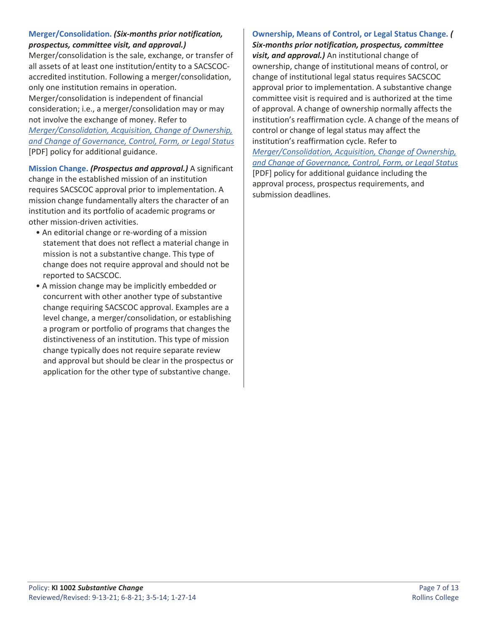### **Merger/Consolidation.** *(Six-months prior notification, prospectus, committee visit, and approval.)*

Merger/consolidation is the sale, exchange, or transfer of all assets of at least one institution/entity to a SACSCOCaccredited institution. Following a merger/consolidation, only one institution remains in operation. Merger/consolidation is independent of financial consideration; i.e., a merger/consolidation may or may not involve the exchange of money. Refer to *[Merger/Consolidation, Acquisition, Change of Ownership,](https://sacscoc.org/app/uploads/2019/08/Mergers.pdf)  [and Change of Governance, Control, Form, or Legal Status](https://sacscoc.org/app/uploads/2019/08/Mergers.pdf)* [PDF] policy for additional guidance.

**Mission Change.** *(Prospectus and approval.)* A significant change in the established mission of an institution requires SACSCOC approval prior to implementation. A mission change fundamentally alters the character of an institution and its portfolio of academic programs or other mission-driven activities.

- An editorial change or re-wording of a mission statement that does not reflect a material change in mission is not a substantive change. This type of change does not require approval and should not be reported to SACSCOC.
- A mission change may be implicitly embedded or concurrent with other another type of substantive change requiring SACSCOC approval. Examples are a level change, a merger/consolidation, or establishing a program or portfolio of programs that changes the distinctiveness of an institution. This type of mission change typically does not require separate review and approval but should be clear in the prospectus or application for the other type of substantive change.

### **Ownership, Means of Control, or Legal Status Change.** *(*

*Six-months prior notification, prospectus, committee visit, and approval.)* An institutional change of ownership, change of institutional means of control, or change of institutional legal status requires SACSCOC approval prior to implementation. A substantive change committee visit is required and is authorized at the time of approval. A change of ownership normally affects the institution's reaffirmation cycle. A change of the means of control or change of legal status may affect the institution's reaffirmation cycle. Refer to

*[Merger/Consolidation, Acquisition, Change of Ownership,](https://sacscoc.org/app/uploads/2019/08/Mergers.pdf)  [and Change of Governance, Control, Form, or Legal Status](https://sacscoc.org/app/uploads/2019/08/Mergers.pdf)* [PDF] policy for additional guidance including the approval process, prospectus requirements, and submission deadlines.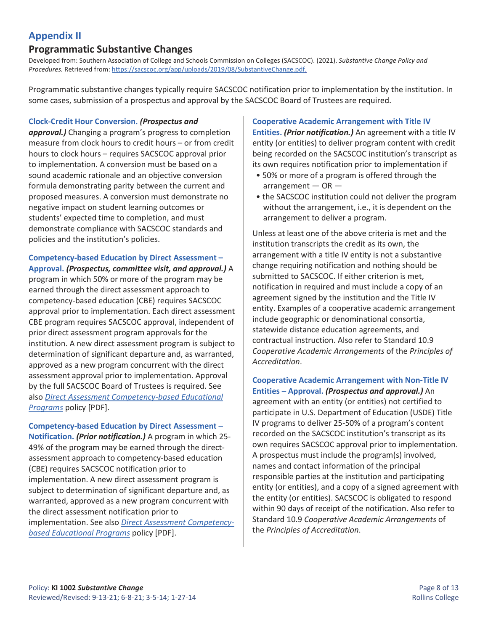## <span id="page-7-0"></span>**Appendix II**

### **Programmatic Substantive Changes**

Developed from: Southern Association of College and Schools Commission on Colleges (SACSCOC). (2021). *Substantive Change Policy and Procedures.* Retrieved from: [https://sacscoc.org/app/uploads/2019/08/SubstantiveChange.pdf.](https://sacscoc.org/app/uploads/2019/08/SubstantiveChange.pdf)

Programmatic substantive changes typically require SACSCOC notification prior to implementation by the institution. In some cases, submission of a prospectus and approval by the SACSCOC Board of Trustees are required.

#### **Clock-Credit Hour Conversion.** *(Prospectus and*

*approval.)* Changing a program's progress to completion measure from clock hours to credit hours – or from credit hours to clock hours – requires SACSCOC approval prior to implementation. A conversion must be based on a sound academic rationale and an objective conversion formula demonstrating parity between the current and proposed measures. A conversion must demonstrate no negative impact on student learning outcomes or students' expected time to completion, and must demonstrate compliance with SACSCOC standards and policies and the institution's policies.

### **Competency-based Education by Direct Assessment –**

**Approval.** *(Prospectus, committee visit, and approval.)* A program in which 50% or more of the program may be earned through the direct assessment approach to competency-based education (CBE) requires SACSCOC approval prior to implementation. Each direct assessment CBE program requires SACSCOC approval, independent of prior direct assessment program approvals for the institution. A new direct assessment program is subject to determination of significant departure and, as warranted, approved as a new program concurrent with the direct assessment approval prior to implementation. Approval by the full SACSCOC Board of Trustees is required. See also *[Direct Assessment Competency-based Educational](https://sacscoc.org/app/uploads/2019/08/DirectAssessmentCompetencyBased.pdf)  [Programs](https://sacscoc.org/app/uploads/2019/08/DirectAssessmentCompetencyBased.pdf)* policy [PDF].

**Competency-based Education by Direct Assessment – Notification.** *(Prior notification.)* A program in which 25- 49% of the program may be earned through the directassessment approach to competency-based education (CBE) requires SACSCOC notification prior to implementation. A new direct assessment program is subject to determination of significant departure and, as warranted, approved as a new program concurrent with the direct assessment notification prior to implementation. See also *[Direct Assessment Competency](https://sacscoc.org/app/uploads/2019/08/DirectAssessmentCompetencyBased.pdf)[based Educational Programs](https://sacscoc.org/app/uploads/2019/08/DirectAssessmentCompetencyBased.pdf)* policy [PDF].

#### **Cooperative Academic Arrangement with Title IV**

**Entities.** *(Prior notification.)* An agreement with a title IV entity (or entities) to deliver program content with credit being recorded on the SACSCOC institution's transcript as its own requires notification prior to implementation if

- 50% or more of a program is offered through the  $arrangement - OR -$
- the SACSCOC institution could not deliver the program without the arrangement, i.e., it is dependent on the arrangement to deliver a program.

Unless at least one of the above criteria is met and the institution transcripts the credit as its own, the arrangement with a title IV entity is not a substantive change requiring notification and nothing should be submitted to SACSCOC. If either criterion is met, notification in required and must include a copy of an agreement signed by the institution and the Title IV entity. Examples of a cooperative academic arrangement include geographic or denominational consortia, statewide distance education agreements, and contractual instruction. Also refer to Standard 10.9 *Cooperative Academic Arrangements* of the *Principles of Accreditation*.

**Cooperative Academic Arrangement with Non-Title IV Entities – Approval.** *(Prospectus and approval.)* An agreement with an entity (or entities) not certified to participate in U.S. Department of Education (USDE) Title IV programs to deliver 25-50% of a program's content recorded on the SACSCOC institution's transcript as its own requires SACSCOC approval prior to implementation. A prospectus must include the program(s) involved, names and contact information of the principal responsible parties at the institution and participating entity (or entities), and a copy of a signed agreement with the entity (or entities). SACSCOC is obligated to respond within 90 days of receipt of the notification. Also refer to Standard 10.9 *Cooperative Academic Arrangements* of the *Principles of Accreditation*.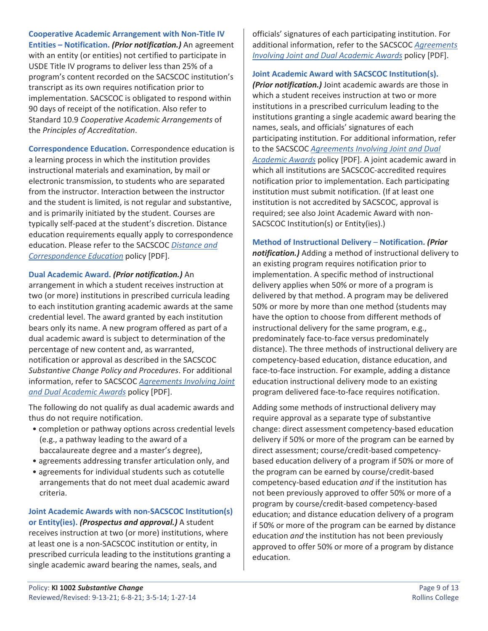**Cooperative Academic Arrangement with Non-Title IV Entities – Notification.** *(Prior notification.)* An agreement with an entity (or entities) not certified to participate in USDE Title IV programs to deliver less than 25% of a program's content recorded on the SACSCOC institution's transcript as its own requires notification prior to implementation. SACSCOC is obligated to respond within 90 days of receipt of the notification. Also refer to Standard 10.9 *Cooperative Academic Arrangements* of the *Principles of Accreditation*.

**Correspondence Education.** Correspondence education is a learning process in which the institution provides instructional materials and examination, by mail or electronic transmission, to students who are separated from the instructor. Interaction between the instructor and the student is limited, is not regular and substantive, and is primarily initiated by the student. Courses are typically self-paced at the student's discretion. Distance education requirements equally apply to correspondence education. Please refer to the SACSCOC *[Distance and](https://sacscoc.org/app/uploads/2019/07/DistanceCorrespondenceEducation.pdf)  [Correspondence Education](https://sacscoc.org/app/uploads/2019/07/DistanceCorrespondenceEducation.pdf)* policy [PDF].

#### **Dual Academic Award.** *(Prior notification.)* An

arrangement in which a student receives instruction at two (or more) institutions in prescribed curricula leading to each institution granting academic awards at the same credential level. The award granted by each institution bears only its name. A new program offered as part of a dual academic award is subject to determination of the percentage of new content and, as warranted, notification or approval as described in the SACSCOC *Substantive Change Policy and Procedures*. For additional information, refer to SACSCOC *[Agreements Involving Joint](https://sacscoc.org/app/uploads/2019/08/JointDualAwards.pdf)  [and Dual Academic Awards](https://sacscoc.org/app/uploads/2019/08/JointDualAwards.pdf)* policy [PDF].

The following do not qualify as dual academic awards and thus do not require notification.

- completion or pathway options across credential levels (e.g., a pathway leading to the award of a baccalaureate degree and a master's degree),
- agreements addressing transfer articulation only, and
- agreements for individual students such as cotutelle arrangements that do not meet dual academic award criteria.

## **Joint Academic Awards with non-SACSCOC Institution(s) or Entity(ies).** *(Prospectus and approval.)* A student

receives instruction at two (or more) institutions, where at least one is a non-SACSCOC institution or entity, in prescribed curricula leading to the institutions granting a single academic award bearing the names, seals, and

officials' signatures of each participating institution. For additional information, refer to the SACSCOC *[Agreements](https://sacscoc.org/app/uploads/2019/08/JointDualAwards.pdf)  [Involving Joint and Dual Academic Awards](https://sacscoc.org/app/uploads/2019/08/JointDualAwards.pdf)* policy [PDF].

**Joint Academic Award with SACSCOC Institution(s).** 

*(Prior notification.)* Joint academic awards are those in which a student receives instruction at two or more institutions in a prescribed curriculum leading to the institutions granting a single academic award bearing the names, seals, and officials' signatures of each participating institution. For additional information, refer to the SACSCOC *[Agreements Involving Joint and Dual](https://sacscoc.org/app/uploads/2019/08/JointDualAwards.pdf)  [Academic Awards](https://sacscoc.org/app/uploads/2019/08/JointDualAwards.pdf)* policy [PDF]. A joint academic award in which all institutions are SACSCOC-accredited requires notification prior to implementation. Each participating institution must submit notification. (If at least one institution is not accredited by SACSCOC, approval is required; see also Joint Academic Award with non-SACSCOC Institution(s) or Entity(ies).)

**Method of Instructional Delivery** – **Notification.** *(Prior notification.)* Adding a method of instructional delivery to an existing program requires notification prior to implementation. A specific method of instructional delivery applies when 50% or more of a program is delivered by that method. A program may be delivered 50% or more by more than one method (students may have the option to choose from different methods of instructional delivery for the same program, e.g., predominately face-to-face versus predominately distance). The three methods of instructional delivery are competency-based education, distance education, and face-to-face instruction. For example, adding a distance education instructional delivery mode to an existing program delivered face-to-face requires notification.

Adding some methods of instructional delivery may require approval as a separate type of substantive change: direct assessment competency-based education delivery if 50% or more of the program can be earned by direct assessment; course/credit-based competencybased education delivery of a program if 50% or more of the program can be earned by course/credit-based competency-based education *and* if the institution has not been previously approved to offer 50% or more of a program by course/credit-based competency-based education; and distance education delivery of a program if 50% or more of the program can be earned by distance education *and* the institution has not been previously approved to offer 50% or more of a program by distance education.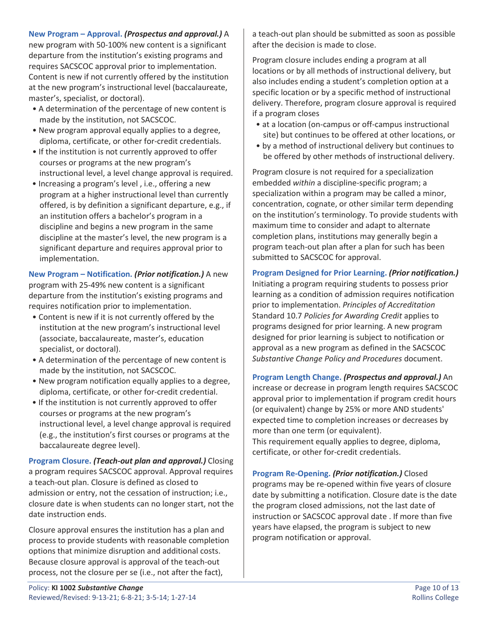**New Program – Approval.** *(Prospectus and approval.)* A new program with 50-100% new content is a significant departure from the institution's existing programs and requires SACSCOC approval prior to implementation. Content is new if not currently offered by the institution at the new program's instructional level (baccalaureate, master's, specialist, or doctoral).

- A determination of the percentage of new content is made by the institution, not SACSCOC.
- New program approval equally applies to a degree, diploma, certificate, or other for-credit credentials.
- If the institution is not currently approved to offer courses or programs at the new program's instructional level, a level change approval is required.
- Increasing a program's level , i.e., offering a new program at a higher instructional level than currently offered, is by definition a significant departure, e.g., if an institution offers a bachelor's program in a discipline and begins a new program in the same discipline at the master's level, the new program is a significant departure and requires approval prior to implementation.

**New Program – Notification.** *(Prior notification.)* A new program with 25-49% new content is a significant departure from the institution's existing programs and requires notification prior to implementation.

- Content is new if it is not currently offered by the institution at the new program's instructional level (associate, baccalaureate, master's, education specialist, or doctoral).
- A determination of the percentage of new content is made by the institution, not SACSCOC.
- New program notification equally applies to a degree, diploma, certificate, or other for-credit credential.
- If the institution is not currently approved to offer courses or programs at the new program's instructional level, a level change approval is required (e.g., the institution's first courses or programs at the baccalaureate degree level).

**Program Closure.** *(Teach-out plan and approval.)* Closing a program requires SACSCOC approval. Approval requires a teach-out plan. Closure is defined as closed to admission or entry, not the cessation of instruction; i.e., closure date is when students can no longer start, not the date instruction ends.

Closure approval ensures the institution has a plan and process to provide students with reasonable completion options that minimize disruption and additional costs. Because closure approval is approval of the teach-out process, not the closure per se (i.e., not after the fact),

a teach-out plan should be submitted as soon as possible after the decision is made to close.

Program closure includes ending a program at all locations or by all methods of instructional delivery, but also includes ending a student's completion option at a specific location or by a specific method of instructional delivery. Therefore, program closure approval is required if a program closes

- at a location (on-campus or off-campus instructional site) but continues to be offered at other locations, or
- by a method of instructional delivery but continues to be offered by other methods of instructional delivery.

Program closure is not required for a specialization embedded *within* a discipline-specific program; a specialization within a program may be called a minor, concentration, cognate, or other similar term depending on the institution's terminology. To provide students with maximum time to consider and adapt to alternate completion plans, institutions may generally begin a program teach-out plan after a plan for such has been submitted to SACSCOC for approval.

**Program Designed for Prior Learning.** *(Prior notification.)* Initiating a program requiring students to possess prior learning as a condition of admission requires notification prior to implementation. *Principles of Accreditation* Standard 10.7 *Policies for Awarding Credit* applies to programs designed for prior learning. A new program designed for prior learning is subject to notification or approval as a new program as defined in the SACSCOC *Substantive Change Policy and Procedures* document.

**Program Length Change.** *(Prospectus and approval.)* An increase or decrease in program length requires SACSCOC approval prior to implementation if program credit hours (or equivalent) change by 25% or more AND students' expected time to completion increases or decreases by more than one term (or equivalent). This requirement equally applies to degree, diploma, certificate, or other for-credit credentials.

**Program Re-Opening.** *(Prior notification.)* Closed programs may be re-opened within five years of closure date by submitting a notification. Closure date is the date the program closed admissions, not the last date of instruction or SACSCOC approval date . If more than five years have elapsed, the program is subject to new program notification or approval.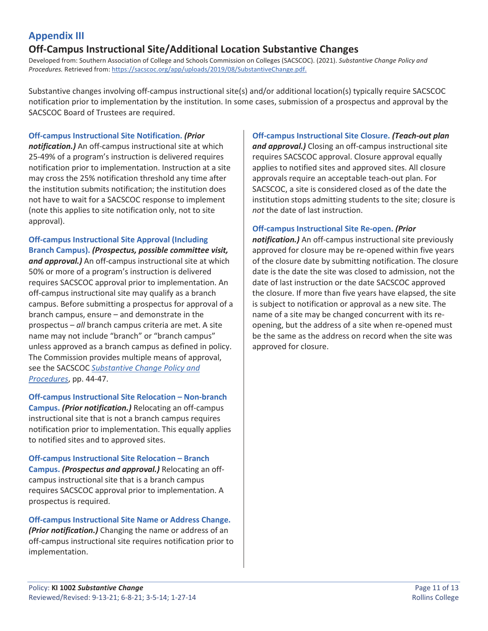## <span id="page-10-0"></span>**Appendix III**

## **Off-Campus Instructional Site/Additional Location Substantive Changes**

Developed from: Southern Association of College and Schools Commission on Colleges (SACSCOC). (2021). *Substantive Change Policy and Procedures.* Retrieved from: [https://sacscoc.org/app/uploads/2019/08/SubstantiveChange.pdf.](https://sacscoc.org/app/uploads/2019/08/SubstantiveChange.pdf)

Substantive changes involving off-campus instructional site(s) and/or additional location(s) typically require SACSCOC notification prior to implementation by the institution. In some cases, submission of a prospectus and approval by the SACSCOC Board of Trustees are required.

#### **Off-campus Instructional Site Notification.** *(Prior*

*notification.)* An off-campus instructional site at which 25-49% of a program's instruction is delivered requires notification prior to implementation. Instruction at a site may cross the 25% notification threshold any time after the institution submits notification; the institution does not have to wait for a SACSCOC response to implement (note this applies to site notification only, not to site approval).

**Off-campus Instructional Site Approval (Including Branch Campus).** *(Prospectus, possible committee visit, and approval.)* An off-campus instructional site at which 50% or more of a program's instruction is delivered requires SACSCOC approval prior to implementation. An off-campus instructional site may qualify as a branch campus. Before submitting a prospectus for approval of a branch campus, ensure – and demonstrate in the prospectus – *all* branch campus criteria are met. A site name may not include "branch" or "branch campus" unless approved as a branch campus as defined in policy. The Commission provides multiple means of approval, see the SACSCOC *[Substantive Change Policy and](https://sacscoc.org/app/uploads/2019/08/SubstantiveChange.pdf)  [Procedures](https://sacscoc.org/app/uploads/2019/08/SubstantiveChange.pdf)*, pp. 44-47.

**Off-campus Instructional Site Relocation – Non-branch Campus.** *(Prior notification.)* Relocating an off-campus instructional site that is not a branch campus requires notification prior to implementation. This equally applies to notified sites and to approved sites.

**Off-campus Instructional Site Relocation – Branch Campus.** *(Prospectus and approval.)* Relocating an offcampus instructional site that is a branch campus requires SACSCOC approval prior to implementation. A prospectus is required.

<span id="page-10-1"></span>**Off-campus Instructional Site Name or Address Change.**  *(Prior notification.)* Changing the name or address of an off-campus instructional site requires notification prior to implementation.

#### **Off-campus Instructional Site Closure.** *(Teach-out plan*

*and approval.)* Closing an off-campus instructional site requires SACSCOC approval. Closure approval equally applies to notified sites and approved sites. All closure approvals require an acceptable teach-out plan. For SACSCOC, a site is considered closed as of the date the institution stops admitting students to the site; closure is *not* the date of last instruction.

#### **Off-campus Instructional Site Re-open.** *(Prior*

*notification.)* An off-campus instructional site previously approved for closure may be re-opened within five years of the closure date by submitting notification. The closure date is the date the site was closed to admission, not the date of last instruction or the date SACSCOC approved the closure. If more than five years have elapsed, the site is subject to notification or approval as a new site. The name of a site may be changed concurrent with its reopening, but the address of a site when re-opened must be the same as the address on record when the site was approved for closure.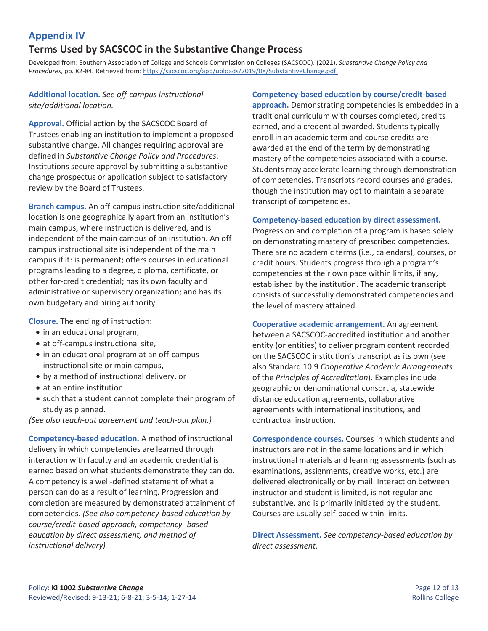### **Appendix IV**

### **Terms Used by SACSCOC in the Substantive Change Process**

Developed from: Southern Association of College and Schools Commission on Colleges (SACSCOC). (2021). *Substantive Change Policy and Procedures*, pp. 82-84*.* Retrieved from: [https://sacscoc.org/app/uploads/2019/08/SubstantiveChange.pdf.](https://sacscoc.org/app/uploads/2019/08/SubstantiveChange.pdf)

### **Additional location.** *See off-campus instructional site/additional location.*

**Approval.** Official action by the SACSCOC Board of Trustees enabling an institution to implement a proposed substantive change. All changes requiring approval are defined in *Substantive Change Policy and Procedures*. Institutions secure approval by submitting a substantive change prospectus or application subject to satisfactory review by the Board of Trustees.

**Branch campus.** An off-campus instruction site/additional location is one geographically apart from an institution's main campus, where instruction is delivered, and is independent of the main campus of an institution. An offcampus instructional site is independent of the main campus if it: is permanent; offers courses in educational programs leading to a degree, diploma, certificate, or other for-credit credential; has its own faculty and administrative or supervisory organization; and has its own budgetary and hiring authority.

**Closure.** The ending of instruction:

- in an educational program,
- at off-campus instructional site,
- in an educational program at an off-campus instructional site or main campus,
- by a method of instructional delivery, or
- at an entire institution
- such that a student cannot complete their program of study as planned.

*(See also teach-out agreement and teach-out plan.)*

**Competency-based education.** A method of instructional delivery in which competencies are learned through interaction with faculty and an academic credential is earned based on what students demonstrate they can do. A competency is a well-defined statement of what a person can do as a result of learning. Progression and completion are measured by demonstrated attainment of competencies. *(See also competency-based education by course/credit-based approach, competency- based education by direct assessment, and method of instructional delivery)*

#### **Competency-based education by course/credit-based**

**approach.** Demonstrating competencies is embedded in a traditional curriculum with courses completed, credits earned, and a credential awarded. Students typically enroll in an academic term and course credits are awarded at the end of the term by demonstrating mastery of the competencies associated with a course. Students may accelerate learning through demonstration of competencies. Transcripts record courses and grades, though the institution may opt to maintain a separate transcript of competencies.

#### **Competency-based education by direct assessment.**

Progression and completion of a program is based solely on demonstrating mastery of prescribed competencies. There are no academic terms (i.e., calendars), courses, or credit hours. Students progress through a program's competencies at their own pace within limits, if any, established by the institution. The academic transcript consists of successfully demonstrated competencies and the level of mastery attained.

**Cooperative academic arrangement.** An agreement between a SACSCOC-accredited institution and another entity (or entities) to deliver program content recorded on the SACSCOC institution's transcript as its own (see also Standard 10.9 *Cooperative Academic Arrangements* of the *Principles of Accreditation*). Examples include geographic or denominational consortia, statewide distance education agreements, collaborative agreements with international institutions, and contractual instruction.

**Correspondence courses.** Courses in which students and instructors are not in the same locations and in which instructional materials and learning assessments (such as examinations, assignments, creative works, etc.) are delivered electronically or by mail. Interaction between instructor and student is limited, is not regular and substantive, and is primarily initiated by the student. Courses are usually self-paced within limits.

**Direct Assessment.** *See competency-based education by direct assessment.*